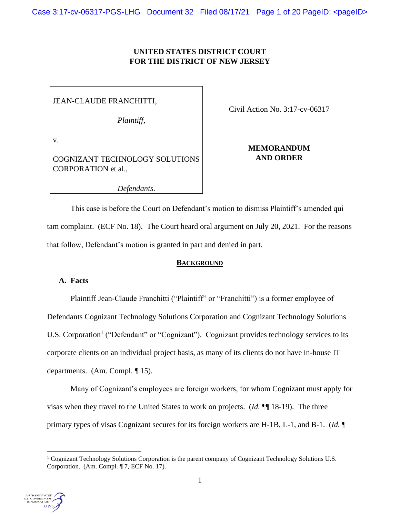## **UNITED STATES DISTRICT COURT FOR THE DISTRICT OF NEW JERSEY**

JEAN-CLAUDE FRANCHITTI,

*Plaintiff*,

v.

COGNIZANT TECHNOLOGY SOLUTIONS CORPORATION et al.,

Civil Action No. 3:17-cv-06317

# **MEMORANDUM AND ORDER**

*Defendants*.

This case is before the Court on Defendant's motion to dismiss Plaintiff's amended qui tam complaint. (ECF No. 18). The Court heard oral argument on July 20, 2021. For the reasons that follow, Defendant's motion is granted in part and denied in part.

## **BACKGROUND**

## **A. Facts**

Plaintiff Jean-Claude Franchitti ("Plaintiff" or "Franchitti") is a former employee of Defendants Cognizant Technology Solutions Corporation and Cognizant Technology Solutions U.S. Corporation<sup>1</sup> ("Defendant" or "Cognizant"). Cognizant provides technology services to its corporate clients on an individual project basis, as many of its clients do not have in-house IT departments. (Am. Compl. ¶ 15).

Many of Cognizant's employees are foreign workers, for whom Cognizant must apply for visas when they travel to the United States to work on projects. (*Id.* ¶¶ 18-19). The three primary types of visas Cognizant secures for its foreign workers are H-1B, L-1, and B-1. (*Id.* ¶

<sup>&</sup>lt;sup>1</sup> Cognizant Technology Solutions Corporation is the parent company of Cognizant Technology Solutions U.S. Corporation. (Am. Compl. ¶ 7, ECF No. 17).

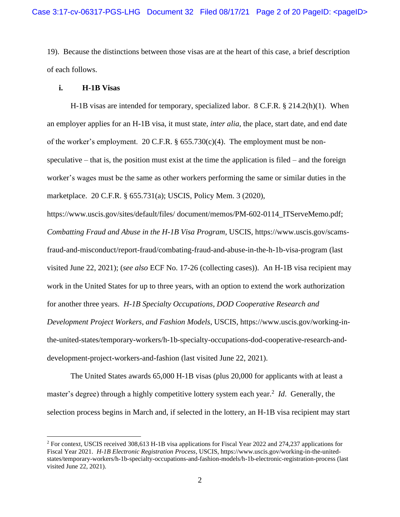19). Because the distinctions between those visas are at the heart of this case, a brief description of each follows.

#### **i. H-1B Visas**

H-1B visas are intended for temporary, specialized labor. 8 C.F.R. § 214.2(h)(1). When an employer applies for an H-1B visa, it must state, *inter alia*, the place, start date, and end date of the worker's employment. 20 C.F.R.  $\S$  655.730(c)(4). The employment must be nonspeculative – that is, the position must exist at the time the application is filed – and the foreign worker's wages must be the same as other workers performing the same or similar duties in the marketplace. 20 C.F.R. § 655.731(a); USCIS, Policy Mem. 3 (2020),

https://www.uscis.gov/sites/default/files/ document/memos/PM-602-0114\_ITServeMemo.pdf; *Combatting Fraud and Abuse in the H-1B Visa Program*, USCIS, https://www.uscis.gov/scamsfraud-and-misconduct/report-fraud/combating-fraud-and-abuse-in-the-h-1b-visa-program (last visited June 22, 2021); (*see also* ECF No. 17-26 (collecting cases)). An H-1B visa recipient may work in the United States for up to three years, with an option to extend the work authorization for another three years. *H-1B Specialty Occupations, DOD Cooperative Research and Development Project Workers, and Fashion Models*, USCIS, https://www.uscis.gov/working-inthe-united-states/temporary-workers/h-1b-specialty-occupations-dod-cooperative-research-anddevelopment-project-workers-and-fashion (last visited June 22, 2021).

The United States awards 65,000 H-1B visas (plus 20,000 for applicants with at least a master's degree) through a highly competitive lottery system each year.<sup>2</sup> Id. Generally, the selection process begins in March and, if selected in the lottery, an H-1B visa recipient may start

<sup>2</sup> For context, USCIS received 308,613 H-1B visa applications for Fiscal Year 2022 and 274,237 applications for Fiscal Year 2021. *H-1B Electronic Registration Process*, USCIS, https://www.uscis.gov/working-in-the-unitedstates/temporary-workers/h-1b-specialty-occupations-and-fashion-models/h-1b-electronic-registration-process (last visited June 22, 2021).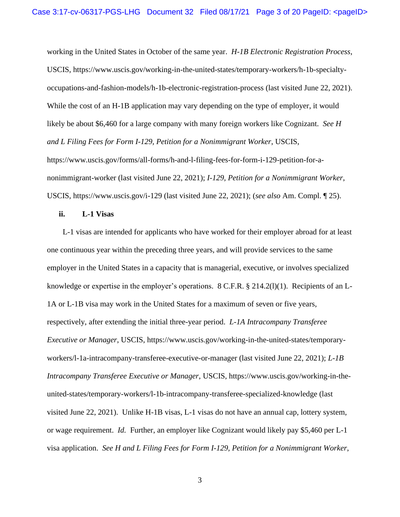working in the United States in October of the same year. *H-1B Electronic Registration Process*, USCIS, https://www.uscis.gov/working-in-the-united-states/temporary-workers/h-1b-specialtyoccupations-and-fashion-models/h-1b-electronic-registration-process (last visited June 22, 2021). While the cost of an H-1B application may vary depending on the type of employer, it would likely be about \$6,460 for a large company with many foreign workers like Cognizant. *See H and L Filing Fees for Form I-129, Petition for a Nonimmigrant Worker*, USCIS, https://www.uscis.gov/forms/all-forms/h-and-l-filing-fees-for-form-i-129-petition-for-anonimmigrant-worker (last visited June 22, 2021); *I-129, Petition for a Nonimmigrant Worker*, USCIS, https://www.uscis.gov/i-129 (last visited June 22, 2021); (*see also* Am. Compl. ¶ 25).

## **ii. L-1 Visas**

L-1 visas are intended for applicants who have worked for their employer abroad for at least one continuous year within the preceding three years, and will provide services to the same employer in the United States in a capacity that is managerial, executive, or involves specialized knowledge or expertise in the employer's operations.  $8 \text{ C.F.R.}$ ,  $8 \text{ 214.2(l)(1)}$ . Recipients of an L-1A or L-1B visa may work in the United States for a maximum of seven or five years, respectively, after extending the initial three-year period. *L-1A Intracompany Transferee Executive or Manager*, USCIS, https://www.uscis.gov/working-in-the-united-states/temporaryworkers/l-1a-intracompany-transferee-executive-or-manager (last visited June 22, 2021); *L-1B Intracompany Transferee Executive or Manager*, USCIS, https://www.uscis.gov/working-in-theunited-states/temporary-workers/l-1b-intracompany-transferee-specialized-knowledge (last visited June 22, 2021). Unlike H-1B visas, L-1 visas do not have an annual cap, lottery system, or wage requirement. *Id.* Further, an employer like Cognizant would likely pay \$5,460 per L-1 visa application. *See H and L Filing Fees for Form I-129, Petition for a Nonimmigrant Worker*,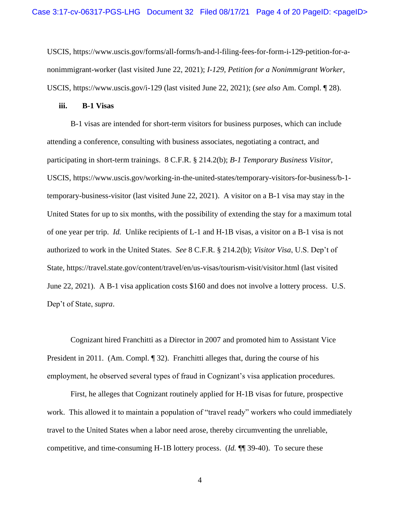USCIS, https://www.uscis.gov/forms/all-forms/h-and-l-filing-fees-for-form-i-129-petition-for-anonimmigrant-worker (last visited June 22, 2021); *I-129, Petition for a Nonimmigrant Worker*, USCIS, https://www.uscis.gov/i-129 (last visited June 22, 2021); (*see also* Am. Compl. ¶ 28).

#### **iii. B-1 Visas**

B-1 visas are intended for short-term visitors for business purposes, which can include attending a conference, consulting with business associates, negotiating a contract, and participating in short-term trainings. 8 C.F.R. § 214.2(b); *B-1 Temporary Business Visitor*, USCIS, https://www.uscis.gov/working-in-the-united-states/temporary-visitors-for-business/b-1 temporary-business-visitor (last visited June 22, 2021). A visitor on a B-1 visa may stay in the United States for up to six months, with the possibility of extending the stay for a maximum total of one year per trip. *Id.* Unlike recipients of L-1 and H-1B visas, a visitor on a B-1 visa is not authorized to work in the United States. *See* 8 C.F.R. § 214.2(b); *Visitor Visa*, U.S. Dep't of State, https://travel.state.gov/content/travel/en/us-visas/tourism-visit/visitor.html (last visited June 22, 2021). A B-1 visa application costs \$160 and does not involve a lottery process. U.S. Dep't of State, *supra*.

Cognizant hired Franchitti as a Director in 2007 and promoted him to Assistant Vice President in 2011. (Am. Compl. ¶ 32). Franchitti alleges that, during the course of his employment, he observed several types of fraud in Cognizant's visa application procedures.

First, he alleges that Cognizant routinely applied for H-1B visas for future, prospective work. This allowed it to maintain a population of "travel ready" workers who could immediately travel to the United States when a labor need arose, thereby circumventing the unreliable, competitive, and time-consuming H-1B lottery process. (*Id.* ¶¶ 39-40). To secure these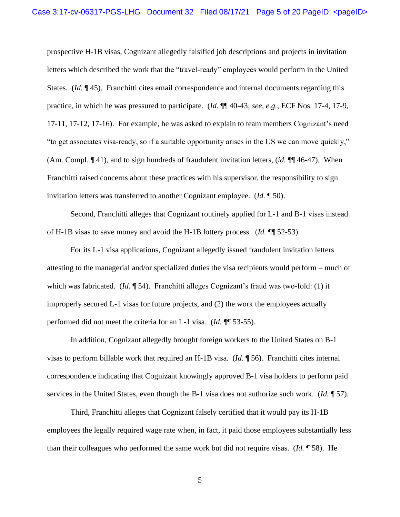prospective H-1B visas, Cognizant allegedly falsified job descriptions and projects in invitation letters which described the work that the "travel-ready" employees would perform in the United States. (*Id.* ¶ 45). Franchitti cites email correspondence and internal documents regarding this practice, in which he was pressured to participate. (*Id.* ¶¶ 40-43; *see, e.g.*, ECF Nos. 17-4, 17-9, 17-11, 17-12, 17-16). For example, he was asked to explain to team members Cognizant's need "to get associates visa-ready, so if a suitable opportunity arises in the US we can move quickly," (Am. Compl. ¶ 41), and to sign hundreds of fraudulent invitation letters, (*id.* ¶¶ 46-47). When Franchitti raised concerns about these practices with his supervisor, the responsibility to sign invitation letters was transferred to another Cognizant employee. (*Id.* ¶ 50).

Second, Franchitti alleges that Cognizant routinely applied for L-1 and B-1 visas instead of H-1B visas to save money and avoid the H-1B lottery process. (*Id.* ¶¶ 52-53).

For its L-1 visa applications, Cognizant allegedly issued fraudulent invitation letters attesting to the managerial and/or specialized duties the visa recipients would perform – much of which was fabricated. (*Id.* ¶ 54). Franchitti alleges Cognizant's fraud was two-fold: (1) it improperly secured L-1 visas for future projects, and (2) the work the employees actually performed did not meet the criteria for an L-1 visa. (*Id.* ¶¶ 53-55).

In addition, Cognizant allegedly brought foreign workers to the United States on B-1 visas to perform billable work that required an H-1B visa. (*Id.* ¶ 56). Franchitti cites internal correspondence indicating that Cognizant knowingly approved B-1 visa holders to perform paid services in the United States, even though the B-1 visa does not authorize such work. (*Id.* ¶ 57).

Third, Franchitti alleges that Cognizant falsely certified that it would pay its H-1B employees the legally required wage rate when, in fact, it paid those employees substantially less than their colleagues who performed the same work but did not require visas. (*Id.* ¶ 58). He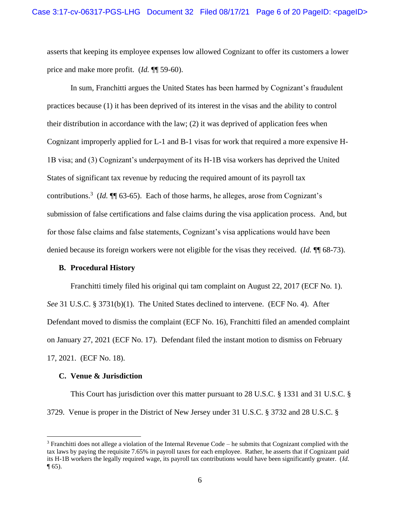asserts that keeping its employee expenses low allowed Cognizant to offer its customers a lower price and make more profit. (*Id.* ¶¶ 59-60).

In sum, Franchitti argues the United States has been harmed by Cognizant's fraudulent practices because (1) it has been deprived of its interest in the visas and the ability to control their distribution in accordance with the law; (2) it was deprived of application fees when Cognizant improperly applied for L-1 and B-1 visas for work that required a more expensive H-1B visa; and (3) Cognizant's underpayment of its H-1B visa workers has deprived the United States of significant tax revenue by reducing the required amount of its payroll tax contributions.<sup>3</sup> (*Id.*  $\P$  63-65). Each of those harms, he alleges, arose from Cognizant's submission of false certifications and false claims during the visa application process. And, but for those false claims and false statements, Cognizant's visa applications would have been denied because its foreign workers were not eligible for the visas they received. (*Id.* ¶ 68-73).

### **B. Procedural History**

Franchitti timely filed his original qui tam complaint on August 22, 2017 (ECF No. 1). *See* 31 U.S.C. § 3731(b)(1). The United States declined to intervene. (ECF No. 4). After Defendant moved to dismiss the complaint (ECF No. 16), Franchitti filed an amended complaint on January 27, 2021 (ECF No. 17). Defendant filed the instant motion to dismiss on February 17, 2021. (ECF No. 18).

#### **C. Venue & Jurisdiction**

This Court has jurisdiction over this matter pursuant to 28 U.S.C. § 1331 and 31 U.S.C. § 3729. Venue is proper in the District of New Jersey under 31 U.S.C. § 3732 and 28 U.S.C. §

 $3$  Franchitti does not allege a violation of the Internal Revenue Code – he submits that Cognizant complied with the tax laws by paying the requisite 7.65% in payroll taxes for each employee. Rather, he asserts that if Cognizant paid its H-1B workers the legally required wage, its payroll tax contributions would have been significantly greater. (*Id.*  $\P(65)$ .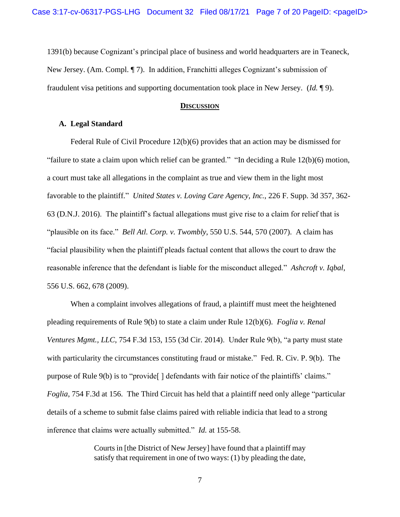1391(b) because Cognizant's principal place of business and world headquarters are in Teaneck, New Jersey. (Am. Compl. ¶ 7). In addition, Franchitti alleges Cognizant's submission of fraudulent visa petitions and supporting documentation took place in New Jersey. (*Id.* ¶ 9).

#### **DISCUSSION**

### **A. Legal Standard**

Federal Rule of Civil Procedure 12(b)(6) provides that an action may be dismissed for "failure to state a claim upon which relief can be granted." "In deciding a Rule 12(b)(6) motion, a court must take all allegations in the complaint as true and view them in the light most favorable to the plaintiff." *United States v. Loving Care Agency, Inc.*, 226 F. Supp. 3d 357, 362- 63 (D.N.J. 2016). The plaintiff's factual allegations must give rise to a claim for relief that is "plausible on its face." *Bell Atl. Corp. v. Twombly*, 550 U.S. 544, 570 (2007). A claim has "facial plausibility when the plaintiff pleads factual content that allows the court to draw the reasonable inference that the defendant is liable for the misconduct alleged." *Ashcroft v. Iqbal*, 556 U.S. 662, 678 (2009).

When a complaint involves allegations of fraud, a plaintiff must meet the heightened pleading requirements of Rule 9(b) to state a claim under Rule 12(b)(6). *Foglia v. Renal Ventures Mgmt., LLC*, 754 F.3d 153, 155 (3d Cir. 2014). Under Rule 9(b), "a party must state with particularity the circumstances constituting fraud or mistake." Fed. R. Civ. P. 9(b). The purpose of Rule 9(b) is to "provide[ ] defendants with fair notice of the plaintiffs' claims." *Foglia*, 754 F.3d at 156. The Third Circuit has held that a plaintiff need only allege "particular details of a scheme to submit false claims paired with reliable indicia that lead to a strong inference that claims were actually submitted." *Id.* at 155-58.

> Courts in [the District of New Jersey] have found that a plaintiff may satisfy that requirement in one of two ways: (1) by pleading the date,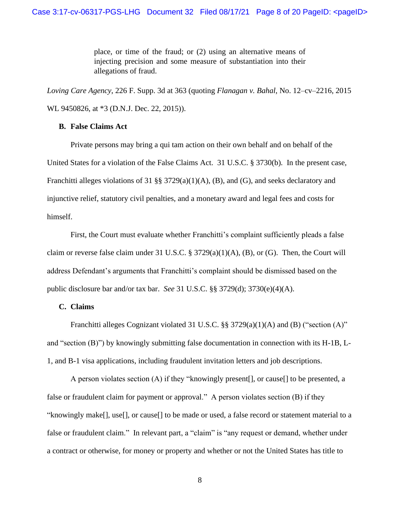place, or time of the fraud; or (2) using an alternative means of injecting precision and some measure of substantiation into their allegations of fraud.

*Loving Care Agency*, 226 F. Supp. 3d at 363 (quoting *Flanagan v. Bahal*, No. 12–cv–2216, 2015 WL 9450826, at \*3 (D.N.J. Dec. 22, 2015)).

### **B. False Claims Act**

Private persons may bring a qui tam action on their own behalf and on behalf of the United States for a violation of the False Claims Act. 31 U.S.C. § 3730(b). In the present case, Franchitti alleges violations of 31 §§ 3729(a)(1)(A), (B), and (G), and seeks declaratory and injunctive relief, statutory civil penalties, and a monetary award and legal fees and costs for himself.

First, the Court must evaluate whether Franchitti's complaint sufficiently pleads a false claim or reverse false claim under 31 U.S.C. § 3729(a)(1)(A), (B), or (G). Then, the Court will address Defendant's arguments that Franchitti's complaint should be dismissed based on the public disclosure bar and/or tax bar. *See* 31 U.S.C. §§ 3729(d); 3730(e)(4)(A).

## **C. Claims**

Franchitti alleges Cognizant violated 31 U.S.C. §§ 3729(a)(1)(A) and (B) ("section (A)" and "section (B)") by knowingly submitting false documentation in connection with its H-1B, L-1, and B-1 visa applications, including fraudulent invitation letters and job descriptions.

A person violates section (A) if they "knowingly present[], or cause[] to be presented, a false or fraudulent claim for payment or approval." A person violates section (B) if they "knowingly make[], use[], or cause[] to be made or used, a false record or statement material to a false or fraudulent claim." In relevant part, a "claim" is "any request or demand, whether under a contract or otherwise, for money or property and whether or not the United States has title to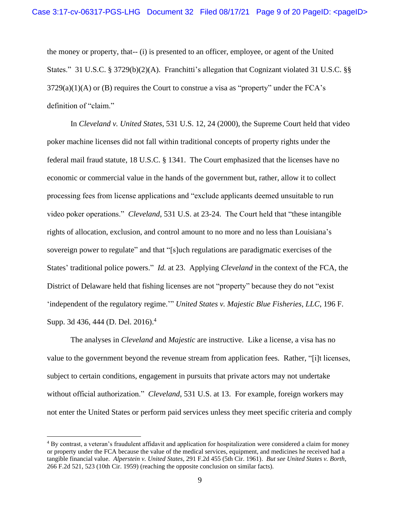the money or property, that-- (i) is presented to an officer, employee, or agent of the United States." 31 U.S.C. § 3729(b)(2)(A). Franchitti's allegation that Cognizant violated 31 U.S.C. §§  $3729(a)(1)(A)$  or (B) requires the Court to construe a visa as "property" under the FCA's definition of "claim."

In *Cleveland v. United States*, 531 U.S. 12, 24 (2000), the Supreme Court held that video poker machine licenses did not fall within traditional concepts of property rights under the federal mail fraud statute, 18 U.S.C. § 1341. The Court emphasized that the licenses have no economic or commercial value in the hands of the government but, rather, allow it to collect processing fees from license applications and "exclude applicants deemed unsuitable to run video poker operations." *Cleveland*, 531 U.S. at 23-24. The Court held that "these intangible rights of allocation, exclusion, and control amount to no more and no less than Louisiana's sovereign power to regulate" and that "[s]uch regulations are paradigmatic exercises of the States' traditional police powers." *Id.* at 23. Applying *Cleveland* in the context of the FCA, the District of Delaware held that fishing licenses are not "property" because they do not "exist 'independent of the regulatory regime.'" *United States v. Majestic Blue Fisheries, LLC*, 196 F. Supp. 3d 436, 444 (D. Del. 2016).<sup>4</sup>

The analyses in *Cleveland* and *Majestic* are instructive. Like a license, a visa has no value to the government beyond the revenue stream from application fees. Rather, "[i]t licenses, subject to certain conditions, engagement in pursuits that private actors may not undertake without official authorization." *Cleveland*, 531 U.S. at 13. For example, foreign workers may not enter the United States or perform paid services unless they meet specific criteria and comply

<sup>&</sup>lt;sup>4</sup> By contrast, a veteran's fraudulent affidavit and application for hospitalization were considered a claim for money or property under the FCA because the value of the medical services, equipment, and medicines he received had a tangible financial value. *Alperstein v. United States*, 291 F.2d 455 (5th Cir. 1961). *But see United States v. Borth*, 266 F.2d 521, 523 (10th Cir. 1959) (reaching the opposite conclusion on similar facts).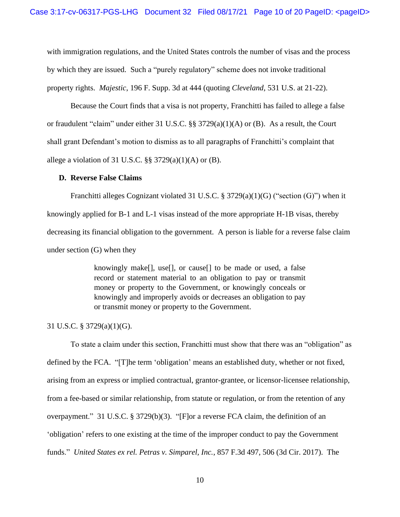with immigration regulations, and the United States controls the number of visas and the process by which they are issued. Such a "purely regulatory" scheme does not invoke traditional property rights. *Majestic*, 196 F. Supp. 3d at 444 (quoting *Cleveland*, 531 U.S. at 21-22).

Because the Court finds that a visa is not property, Franchitti has failed to allege a false or fraudulent "claim" under either 31 U.S.C. §§ 3729(a)(1)(A) or (B). As a result, the Court shall grant Defendant's motion to dismiss as to all paragraphs of Franchitti's complaint that allege a violation of 31 U.S.C.  $\S$ § 3729(a)(1)(A) or (B).

#### **D. Reverse False Claims**

Franchitti alleges Cognizant violated 31 U.S.C. § 3729(a)(1)(G) ("section (G)") when it knowingly applied for B-1 and L-1 visas instead of the more appropriate H-1B visas, thereby decreasing its financial obligation to the government. A person is liable for a reverse false claim under section (G) when they

> knowingly make[], use[], or cause[] to be made or used, a false record or statement material to an obligation to pay or transmit money or property to the Government, or knowingly conceals or knowingly and improperly avoids or decreases an obligation to pay or transmit money or property to the Government.

## 31 U.S.C. § 3729(a)(1)(G).

To state a claim under this section, Franchitti must show that there was an "obligation" as defined by the FCA. "[T]he term 'obligation' means an established duty, whether or not fixed, arising from an express or implied contractual, grantor-grantee, or licensor-licensee relationship, from a fee-based or similar relationship, from statute or regulation, or from the retention of any overpayment." 31 U.S.C. § 3729(b)(3). "[F]or a reverse FCA claim, the definition of an 'obligation' refers to one existing at the time of the improper conduct to pay the Government funds." *United States ex rel. Petras v. Simparel, Inc.*, 857 F.3d 497, 506 (3d Cir. 2017). The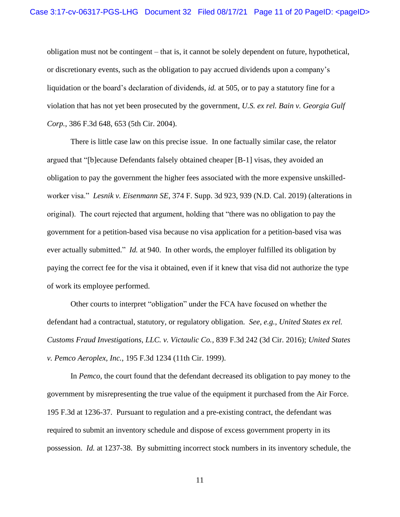obligation must not be contingent – that is, it cannot be solely dependent on future, hypothetical, or discretionary events, such as the obligation to pay accrued dividends upon a company's liquidation or the board's declaration of dividends, *id.* at 505, or to pay a statutory fine for a violation that has not yet been prosecuted by the government, *U.S. ex rel. Bain v. Georgia Gulf Corp.*, 386 F.3d 648, 653 (5th Cir. 2004).

There is little case law on this precise issue. In one factually similar case, the relator argued that "[b]ecause Defendants falsely obtained cheaper [B-1] visas, they avoided an obligation to pay the government the higher fees associated with the more expensive unskilledworker visa." *Lesnik v. Eisenmann SE*, 374 F. Supp. 3d 923, 939 (N.D. Cal. 2019) (alterations in original). The court rejected that argument, holding that "there was no obligation to pay the government for a petition-based visa because no visa application for a petition-based visa was ever actually submitted." *Id.* at 940. In other words, the employer fulfilled its obligation by paying the correct fee for the visa it obtained, even if it knew that visa did not authorize the type of work its employee performed.

Other courts to interpret "obligation" under the FCA have focused on whether the defendant had a contractual, statutory, or regulatory obligation. *See, e.g.*, *United States ex rel. Customs Fraud Investigations, LLC. v. Victaulic Co.*, 839 F.3d 242 (3d Cir. 2016); *United States v. Pemco Aeroplex, Inc.*, 195 F.3d 1234 (11th Cir. 1999).

In *Pemco*, the court found that the defendant decreased its obligation to pay money to the government by misrepresenting the true value of the equipment it purchased from the Air Force. 195 F.3d at 1236-37. Pursuant to regulation and a pre-existing contract, the defendant was required to submit an inventory schedule and dispose of excess government property in its possession. *Id.* at 1237-38. By submitting incorrect stock numbers in its inventory schedule, the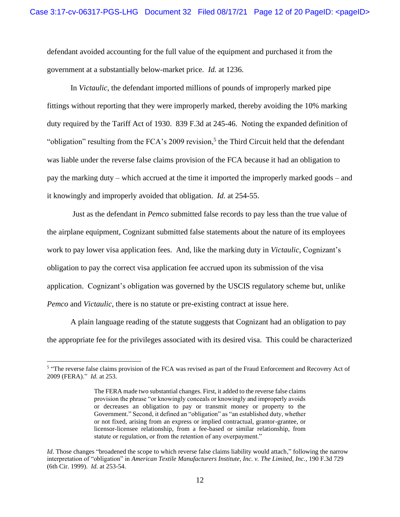defendant avoided accounting for the full value of the equipment and purchased it from the government at a substantially below-market price. *Id.* at 1236.

In *Victaulic*, the defendant imported millions of pounds of improperly marked pipe fittings without reporting that they were improperly marked, thereby avoiding the 10% marking duty required by the Tariff Act of 1930. 839 F.3d at 245-46. Noting the expanded definition of "obligation" resulting from the FCA's 2009 revision,<sup>5</sup> the Third Circuit held that the defendant was liable under the reverse false claims provision of the FCA because it had an obligation to pay the marking duty – which accrued at the time it imported the improperly marked goods – and it knowingly and improperly avoided that obligation. *Id.* at 254-55.

Just as the defendant in *Pemco* submitted false records to pay less than the true value of the airplane equipment, Cognizant submitted false statements about the nature of its employees work to pay lower visa application fees. And, like the marking duty in *Victaulic*, Cognizant's obligation to pay the correct visa application fee accrued upon its submission of the visa application. Cognizant's obligation was governed by the USCIS regulatory scheme but, unlike *Pemco* and *Victaulic*, there is no statute or pre-existing contract at issue here.

A plain language reading of the statute suggests that Cognizant had an obligation to pay the appropriate fee for the privileges associated with its desired visa. This could be characterized

<sup>&</sup>lt;sup>5</sup> "The reverse false claims provision of the FCA was revised as part of the Fraud Enforcement and Recovery Act of 2009 (FERA)." *Id*. at 253.

The FERA made two substantial changes. First, it added to the reverse false claims provision the phrase "or knowingly conceals or knowingly and improperly avoids or decreases an obligation to pay or transmit money or property to the Government." Second, it defined an "obligation" as "an established duty, whether or not fixed, arising from an express or implied contractual, grantor-grantee, or licensor-licensee relationship, from a fee-based or similar relationship, from statute or regulation, or from the retention of any overpayment."

*Id*. Those changes "broadened the scope to which reverse false claims liability would attach," following the narrow interpretation of "obligation" in *American Textile Manufacturers Institute, Inc. v. The Limited, Inc.*, 190 F.3d 729 (6th Cir. 1999). *Id.* at 253-54.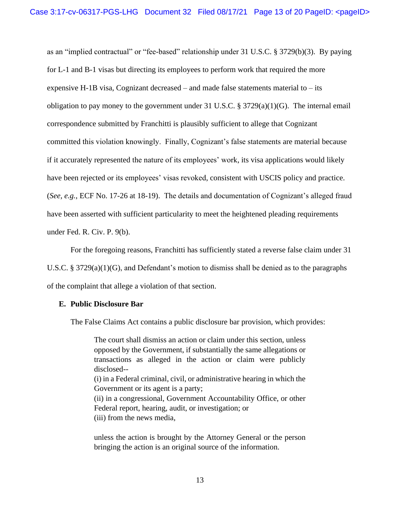as an "implied contractual" or "fee-based" relationship under 31 U.S.C. § 3729(b)(3). By paying for L-1 and B-1 visas but directing its employees to perform work that required the more expensive H-1B visa, Cognizant decreased – and made false statements material to – its obligation to pay money to the government under 31 U.S.C. § 3729(a)(1)(G). The internal email correspondence submitted by Franchitti is plausibly sufficient to allege that Cognizant committed this violation knowingly. Finally, Cognizant's false statements are material because if it accurately represented the nature of its employees' work, its visa applications would likely have been rejected or its employees' visas revoked, consistent with USCIS policy and practice. (*See, e.g.*, ECF No. 17-26 at 18-19). The details and documentation of Cognizant's alleged fraud have been asserted with sufficient particularity to meet the heightened pleading requirements under Fed. R. Civ. P. 9(b).

For the foregoing reasons, Franchitti has sufficiently stated a reverse false claim under 31

U.S.C. § 3729(a)(1)(G), and Defendant's motion to dismiss shall be denied as to the paragraphs of the complaint that allege a violation of that section.

#### **E. Public Disclosure Bar**

The False Claims Act contains a public disclosure bar provision, which provides:

The court shall dismiss an action or claim under this section, unless opposed by the Government, if substantially the same allegations or transactions as alleged in the action or claim were publicly disclosed-- (i) in a Federal criminal, civil, or administrative hearing in which the Government or its agent is a party; (ii) in a congressional, Government Accountability Office, or other Federal report, hearing, audit, or investigation; or (iii) from the news media,

unless the action is brought by the Attorney General or the person bringing the action is an original source of the information.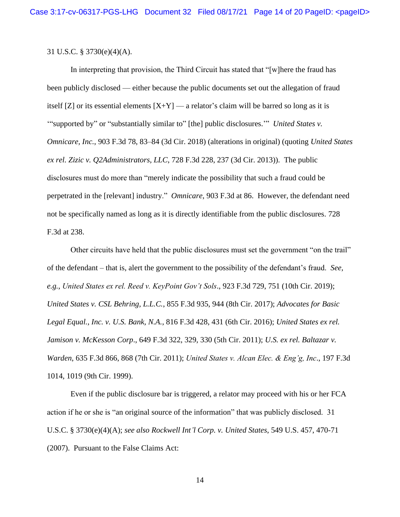### 31 U.S.C. § 3730(e)(4)(A).

In interpreting that provision, the Third Circuit has stated that "[w]here the fraud has been publicly disclosed — either because the public documents set out the allegation of fraud itself [Z] or its essential elements  $[X+Y]$  — a relator's claim will be barred so long as it is '"supported by" or "substantially similar to" [the] public disclosures.'" *United States v. Omnicare, Inc.*, 903 F.3d 78, 83–84 (3d Cir. 2018) (alterations in original) (quoting *United States ex rel. Zizic v. Q2Administrators, LLC*, 728 F.3d 228, 237 (3d Cir. 2013)). The public disclosures must do more than "merely indicate the possibility that such a fraud could be perpetrated in the [relevant] industry." *Omnicare*, 903 F.3d at 86. However, the defendant need not be specifically named as long as it is directly identifiable from the public disclosures. 728 F.3d at 238.

Other circuits have held that the public disclosures must set the government "on the trail" of the defendant – that is, alert the government to the possibility of the defendant's fraud. *See, e.g.*, *United States ex rel. Reed v. KeyPoint Gov't Sols*., 923 F.3d 729, 751 (10th Cir. 2019); *United States v. CSL Behring, L.L.C.*, 855 F.3d 935, 944 (8th Cir. 2017); *Advocates for Basic Legal Equal., Inc. v. U.S. Bank, N.A.*, 816 F.3d 428, 431 (6th Cir. 2016); *United States ex rel. Jamison v. McKesson Corp*., 649 F.3d 322, 329, 330 (5th Cir. 2011); *U.S. ex rel. Baltazar v. Warden*, 635 F.3d 866, 868 (7th Cir. 2011); *United States v. Alcan Elec. & Eng'g, Inc*., 197 F.3d 1014, 1019 (9th Cir. 1999).

Even if the public disclosure bar is triggered, a relator may proceed with his or her FCA action if he or she is "an original source of the information" that was publicly disclosed. 31 U.S.C. § 3730(e)(4)(A); *see also Rockwell Int'l Corp. v. United States*, 549 U.S. 457, 470-71 (2007). Pursuant to the False Claims Act: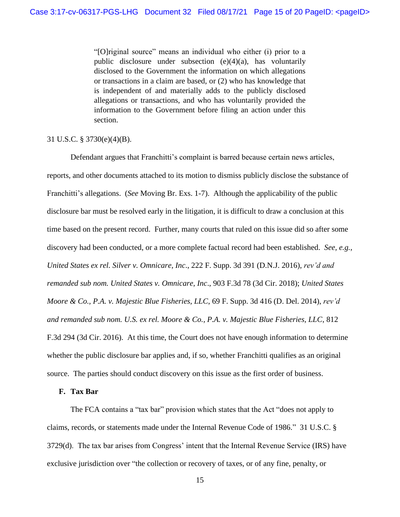"[O]riginal source" means an individual who either (i) prior to a public disclosure under subsection (e)(4)(a), has voluntarily disclosed to the Government the information on which allegations or transactions in a claim are based, or (2) who has knowledge that is independent of and materially adds to the publicly disclosed allegations or transactions, and who has voluntarily provided the information to the Government before filing an action under this section.

### 31 U.S.C. § 3730(e)(4)(B).

Defendant argues that Franchitti's complaint is barred because certain news articles, reports, and other documents attached to its motion to dismiss publicly disclose the substance of Franchitti's allegations. (*See* Moving Br. Exs. 1-7). Although the applicability of the public disclosure bar must be resolved early in the litigation, it is difficult to draw a conclusion at this time based on the present record. Further, many courts that ruled on this issue did so after some discovery had been conducted, or a more complete factual record had been established. *See, e.g.*, *United States ex rel. Silver v. Omnicare, Inc*., 222 F. Supp. 3d 391 (D.N.J. 2016), *rev'd and remanded sub nom. United States v. Omnicare, Inc*., 903 F.3d 78 (3d Cir. 2018); *United States Moore & Co., P.A. v. Majestic Blue Fisheries, LLC*, 69 F. Supp. 3d 416 (D. Del. 2014), *rev'd and remanded sub nom. U.S. ex rel. Moore & Co., P.A. v. Majestic Blue Fisheries, LLC*, 812 F.3d 294 (3d Cir. 2016). At this time, the Court does not have enough information to determine whether the public disclosure bar applies and, if so, whether Franchitti qualifies as an original source. The parties should conduct discovery on this issue as the first order of business.

## **F. Tax Bar**

The FCA contains a "tax bar" provision which states that the Act "does not apply to claims, records, or statements made under the Internal Revenue Code of 1986." 31 U.S.C. § 3729(d). The tax bar arises from Congress' intent that the Internal Revenue Service (IRS) have exclusive jurisdiction over "the collection or recovery of taxes, or of any fine, penalty, or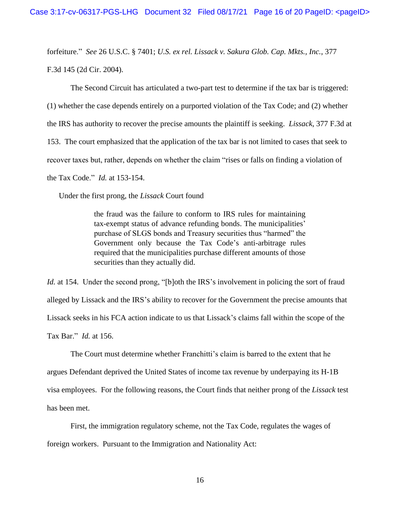forfeiture." *See* 26 U.S.C. § 7401; *U.S. ex rel. Lissack v. Sakura Glob. Cap. Mkts., Inc.*, 377 F.3d 145 (2d Cir. 2004).

The Second Circuit has articulated a two-part test to determine if the tax bar is triggered: (1) whether the case depends entirely on a purported violation of the Tax Code; and (2) whether the IRS has authority to recover the precise amounts the plaintiff is seeking. *Lissack*, 377 F.3d at 153. The court emphasized that the application of the tax bar is not limited to cases that seek to recover taxes but, rather, depends on whether the claim "rises or falls on finding a violation of the Tax Code." *Id.* at 153-154.

Under the first prong, the *Lissack* Court found

the fraud was the failure to conform to IRS rules for maintaining tax-exempt status of advance refunding bonds. The municipalities' purchase of SLGS bonds and Treasury securities thus "harmed" the Government only because the Tax Code's anti-arbitrage rules required that the municipalities purchase different amounts of those securities than they actually did.

*Id.* at 154. Under the second prong, "[b]oth the IRS's involvement in policing the sort of fraud alleged by Lissack and the IRS's ability to recover for the Government the precise amounts that Lissack seeks in his FCA action indicate to us that Lissack's claims fall within the scope of the Tax Bar." *Id.* at 156.

The Court must determine whether Franchitti's claim is barred to the extent that he argues Defendant deprived the United States of income tax revenue by underpaying its H-1B visa employees. For the following reasons, the Court finds that neither prong of the *Lissack* test has been met.

First, the immigration regulatory scheme, not the Tax Code, regulates the wages of foreign workers. Pursuant to the Immigration and Nationality Act: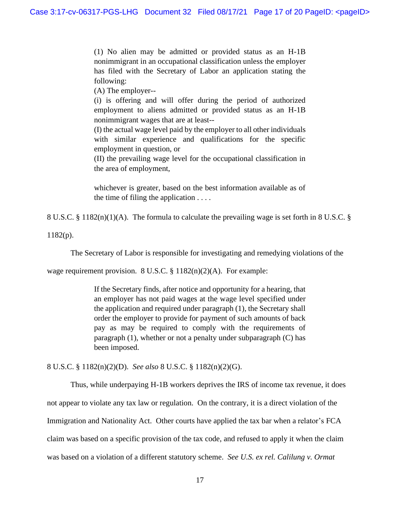(1) No alien may be admitted or provided status as an H-1B nonimmigrant in an occupational classification unless the employer has filed with the Secretary of Labor an application stating the following:

(A) The employer--

(i) is offering and will offer during the period of authorized employment to aliens admitted or provided status as an H-1B nonimmigrant wages that are at least--

(I) the actual wage level paid by the employer to all other individuals with similar experience and qualifications for the specific employment in question, or

(II) the prevailing wage level for the occupational classification in the area of employment,

whichever is greater, based on the best information available as of the time of filing the application  $\dots$ .

8 U.S.C. § 1182(n)(1)(A). The formula to calculate the prevailing wage is set forth in 8 U.S.C. §

1182(p).

The Secretary of Labor is responsible for investigating and remedying violations of the

wage requirement provision. 8 U.S.C. § 1182(n)(2)(A). For example:

If the Secretary finds, after notice and opportunity for a hearing, that an employer has not paid wages at the wage level specified under the application and required under paragraph (1), the Secretary shall order the employer to provide for payment of such amounts of back pay as may be required to comply with the requirements of paragraph (1), whether or not a penalty under subparagraph (C) has been imposed.

8 U.S.C. § 1182(n)(2)(D). *See also* 8 U.S.C. § 1182(n)(2)(G).

Thus, while underpaying H-1B workers deprives the IRS of income tax revenue, it does not appear to violate any tax law or regulation. On the contrary, it is a direct violation of the Immigration and Nationality Act. Other courts have applied the tax bar when a relator's FCA claim was based on a specific provision of the tax code, and refused to apply it when the claim was based on a violation of a different statutory scheme. *See U.S. ex rel. Calilung v. Ormat*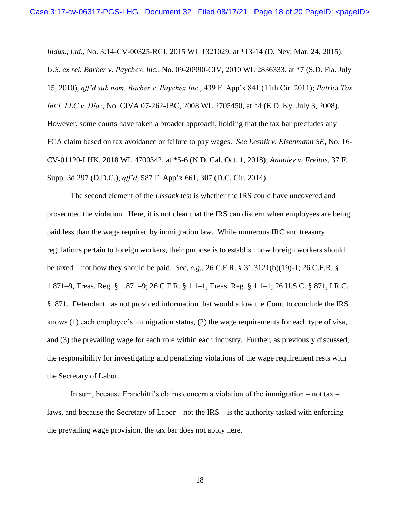*Indus., Ltd*., No. 3:14-CV-00325-RCJ, 2015 WL 1321029, at \*13-14 (D. Nev. Mar. 24, 2015); *U.S. ex rel. Barber v. Paychex, Inc.*, No. 09-20990-CIV, 2010 WL 2836333, at \*7 (S.D. Fla. July 15, 2010), *aff'd sub nom. Barber v. Paychex Inc*., 439 F. App'x 841 (11th Cir. 2011); *Patriot Tax Int'l, LLC v. Diaz*, No. CIVA 07-262-JBC, 2008 WL 2705450, at \*4 (E.D. Ky. July 3, 2008). However, some courts have taken a broader approach, holding that the tax bar precludes any FCA claim based on tax avoidance or failure to pay wages. *See Lesnik v. Eisenmann SE*, No. 16- CV-01120-LHK, 2018 WL 4700342, at \*5-6 (N.D. Cal. Oct. 1, 2018); *Ananiev v. Freitas*, 37 F. Supp. 3d 297 (D.D.C.), *aff'd*, 587 F. App'x 661, 307 (D.C. Cir. 2014).

The second element of the *Lissack* test is whether the IRS could have uncovered and prosecuted the violation. Here, it is not clear that the IRS can discern when employees are being paid less than the wage required by immigration law. While numerous IRC and treasury regulations pertain to foreign workers, their purpose is to establish how foreign workers should be taxed – not how they should be paid. *See, e.g.*, 26 C.F.R. § 31.3121(b)(19)-1; 26 C.F.R. § 1.871–9, Treas. Reg. § 1.871–9; 26 C.F.R. § 1.1–1, Treas. Reg. § 1.1–1; 26 U.S.C. § 871, I.R.C. § 871. Defendant has not provided information that would allow the Court to conclude the IRS knows (1) each employee's immigration status, (2) the wage requirements for each type of visa, and (3) the prevailing wage for each role within each industry. Further, as previously discussed, the responsibility for investigating and penalizing violations of the wage requirement rests with the Secretary of Labor.

In sum, because Franchitti's claims concern a violation of the immigration – not tax – laws, and because the Secretary of Labor – not the IRS – is the authority tasked with enforcing the prevailing wage provision, the tax bar does not apply here.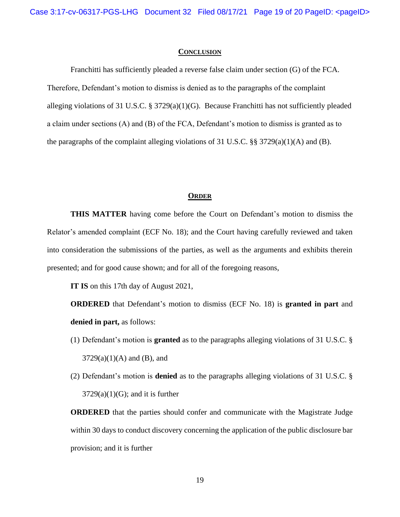#### **CONCLUSION**

Franchitti has sufficiently pleaded a reverse false claim under section (G) of the FCA. Therefore, Defendant's motion to dismiss is denied as to the paragraphs of the complaint alleging violations of 31 U.S.C. § 3729(a)(1)(G). Because Franchitti has not sufficiently pleaded a claim under sections (A) and (B) of the FCA, Defendant's motion to dismiss is granted as to the paragraphs of the complaint alleging violations of 31 U.S.C.  $\S\S 3729(a)(1)(A)$  and (B).

#### **ORDER**

**THIS MATTER** having come before the Court on Defendant's motion to dismiss the Relator's amended complaint (ECF No. 18); and the Court having carefully reviewed and taken into consideration the submissions of the parties, as well as the arguments and exhibits therein presented; and for good cause shown; and for all of the foregoing reasons,

**IT IS** on this 17th day of August 2021,

**ORDERED** that Defendant's motion to dismiss (ECF No. 18) is **granted in part** and **denied in part,** as follows:

- (1) Defendant's motion is **granted** as to the paragraphs alleging violations of 31 U.S.C. §  $3729(a)(1)(A)$  and (B), and
- (2) Defendant's motion is **denied** as to the paragraphs alleging violations of 31 U.S.C. §  $3729(a)(1)(G)$ ; and it is further

**ORDERED** that the parties should confer and communicate with the Magistrate Judge within 30 days to conduct discovery concerning the application of the public disclosure bar provision; and it is further